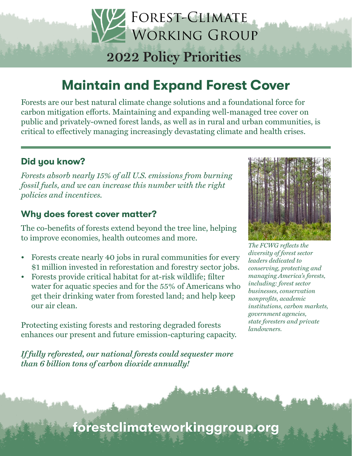## **2022 Policy Priorities**

FOREST-CLIMATE

WORKING GROUP

## Maintain and Expand Forest Cover

Forests are our best natural climate change solutions and a foundational force for carbon mitigation efforts. Maintaining and expanding well-managed tree cover on public and privately-owned forest lands, as well as in rural and urban communities, is critical to effectively managing increasingly devastating climate and health crises.

#### Did you know?

*Forests absorb nearly 15% of all U.S. emissions from burning fossil fuels, and we can increase this number with the right policies and incentives.* 

#### Why does forest cover matter?

The co-benefits of forests extend beyond the tree line, helping to improve economies, health outcomes and more.

- Forests create nearly 40 jobs in rural communities for every \$1 million invested in reforestation and forestry sector jobs.
- Forests provide critical habitat for at-risk wildlife; filter water for aquatic species and for the 55% of Americans who get their drinking water from forested land; and help keep our air clean.

Protecting existing forests and restoring degraded forests enhances our present and future emission-capturing capacity.

*If fully reforested, our national forests could sequester more than 6 billion tons of carbon dioxide annually!*



*The FCWG reflects the diversity of forest sector leaders dedicated to conserving, protecting and managing America's forests, including: forest sector businesses, conservation nonprofits, academic institutions, carbon markets, government agencies, state foresters and private landowners.*

forestclimateworkinggroup.org